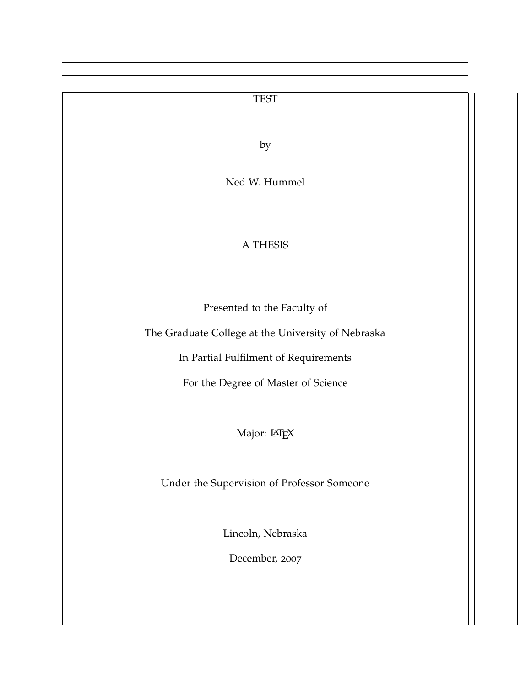# TEST by Ned W. Hummel A THESIS Presented to the Faculty of The Graduate College at the University of Nebraska In Partial Fulfilment of Requirements For the Degree of Master of Science Major: LATEX Under the Supervision of Professor Someone Lincoln, Nebraska December, 2007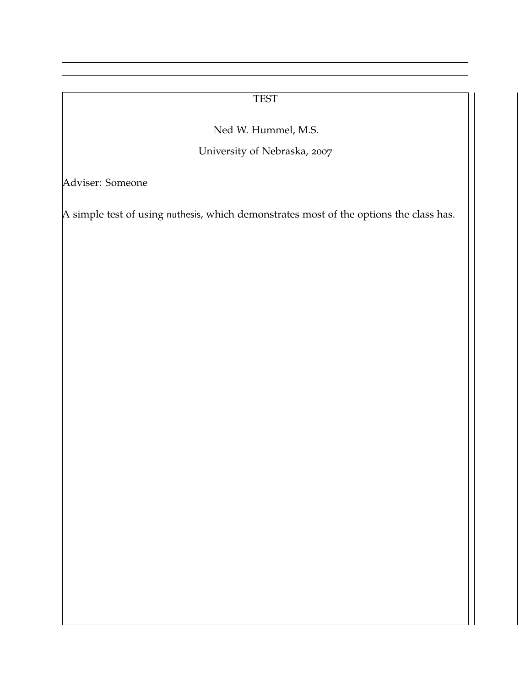#### TEST

Ned W. Hummel, M.S.

University of Nebraska, 2007

Adviser: Someone

A simple test of using nuthesis, which demonstrates most of the options the class has.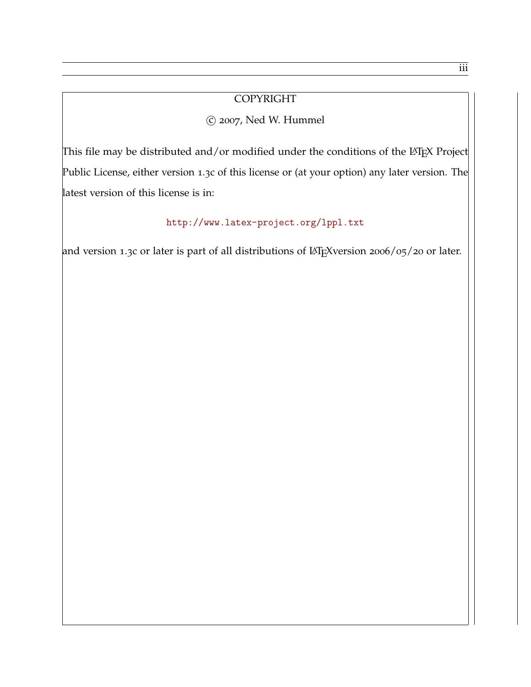#### COPYRIGHT

#### c 2007, Ned W. Hummel

This file may be distributed and/or modified under the conditions of the LATEX Project Public License, either version 1.3c of this license or (at your option) any later version. The latest version of this license is in:

## <http://www.latex-project.org/lppl.txt>

and version 1.3c or later is part of all distributions of LATEXversion 2006/05/20 or later.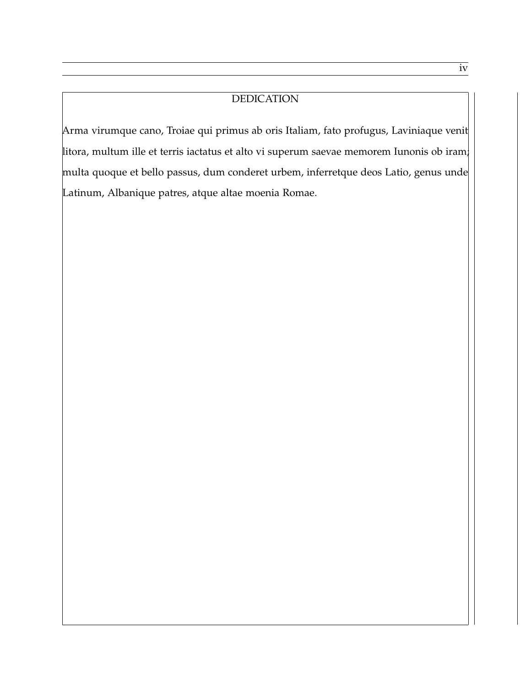#### DEDICATION

Arma virumque cano, Troiae qui primus ab oris Italiam, fato profugus, Laviniaque venit litora, multum ille et terris iactatus et alto vi superum saevae memorem Iunonis ob iram; multa quoque et bello passus, dum conderet urbem, inferretque deos Latio, genus unde Latinum, Albanique patres, atque altae moenia Romae.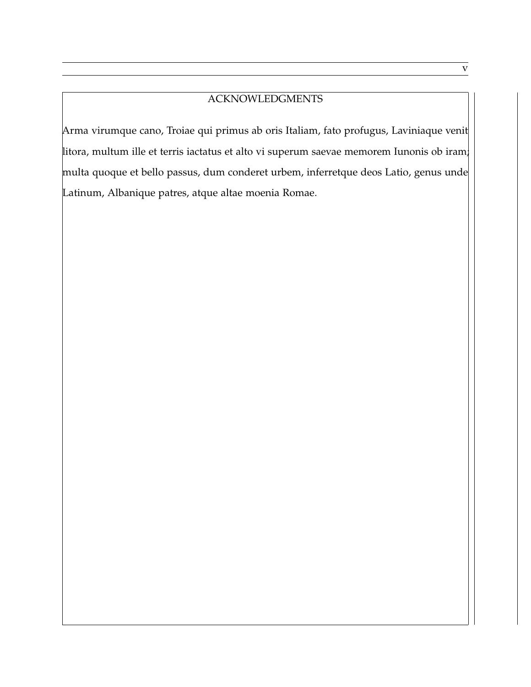#### ACKNOWLEDGMENTS

Arma virumque cano, Troiae qui primus ab oris Italiam, fato profugus, Laviniaque venit litora, multum ille et terris iactatus et alto vi superum saevae memorem Iunonis ob iram; multa quoque et bello passus, dum conderet urbem, inferretque deos Latio, genus unde Latinum, Albanique patres, atque altae moenia Romae.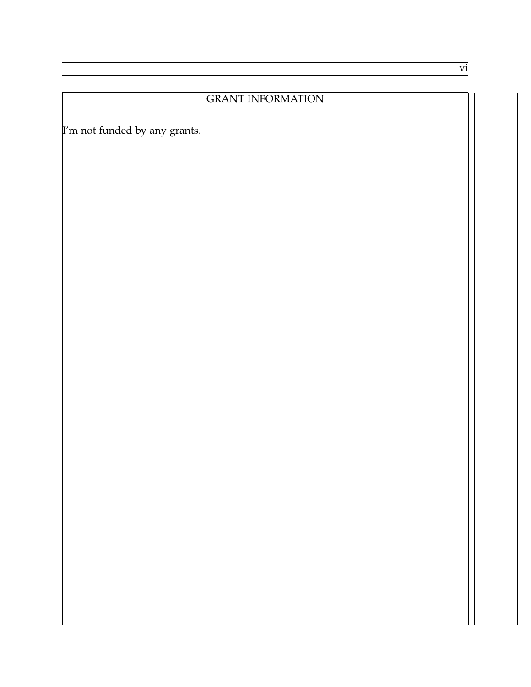#### GRANT INFORMATION

I'm not funded by any grants.

vi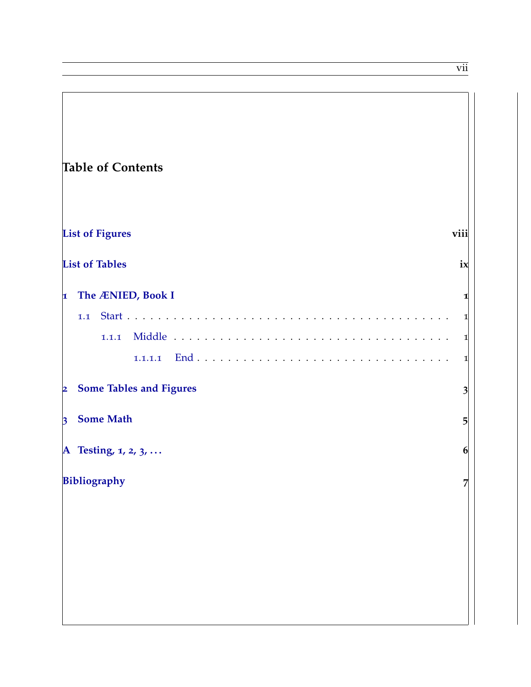vii

٦

| <b>Table of Contents</b>                                  |                |
|-----------------------------------------------------------|----------------|
| <b>List of Figures</b>                                    | viii           |
| <b>List of Tables</b>                                     | ix             |
| The ÆNIED, Book I<br>$\vert$ 1                            | 1              |
| 1.1                                                       | 1              |
| 1.1.1                                                     | 1              |
| 1.1.1.1                                                   | 1              |
| <b>Some Tables and Figures</b><br>$\overline{\mathbf{2}}$ | $\overline{3}$ |
| <b>Some Math</b><br>$\vert$ 3                             | $\overline{5}$ |
| A Testing, $1, 2, 3, $                                    | 6              |
| Bibliography                                              | 7              |
|                                                           |                |
|                                                           |                |
|                                                           |                |
|                                                           |                |
|                                                           |                |
|                                                           |                |

f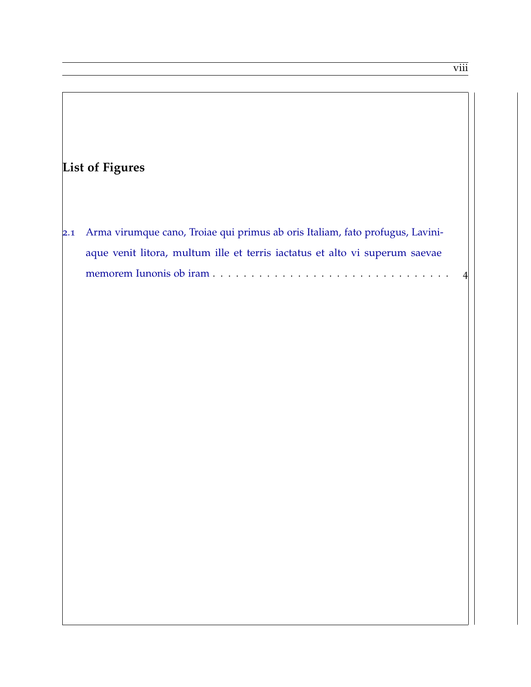<span id="page-7-0"></span>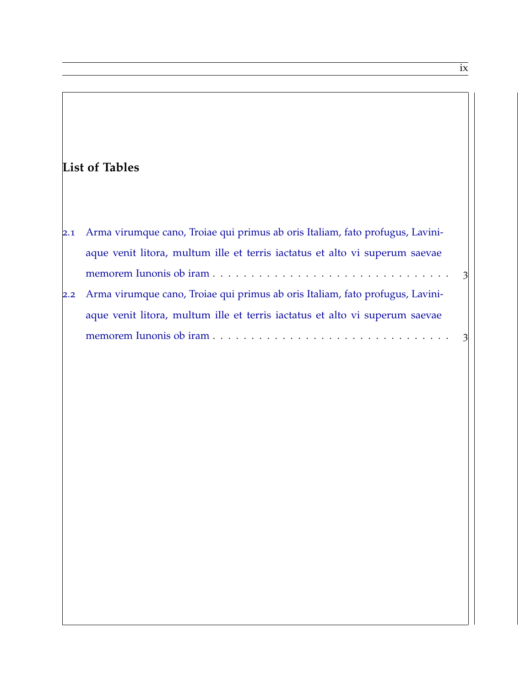<span id="page-8-0"></span>

|     | <b>List of Tables</b>                                                                                                                                                                                     |  |
|-----|-----------------------------------------------------------------------------------------------------------------------------------------------------------------------------------------------------------|--|
| 2.1 | Arma virumque cano, Troiae qui primus ab oris Italiam, fato profugus, Lavini-<br>aque venit litora, multum ille et terris iactatus et alto vi superum saevae<br>memorem Iunonis ob iram<br>$\overline{3}$ |  |
| 2.2 | Arma virumque cano, Troiae qui primus ab oris Italiam, fato profugus, Lavini-<br>aque venit litora, multum ille et terris iactatus et alto vi superum saevae                                              |  |
|     | memorem Iunonis ob iram<br>$\overline{\mathcal{E}}$                                                                                                                                                       |  |
|     |                                                                                                                                                                                                           |  |

ix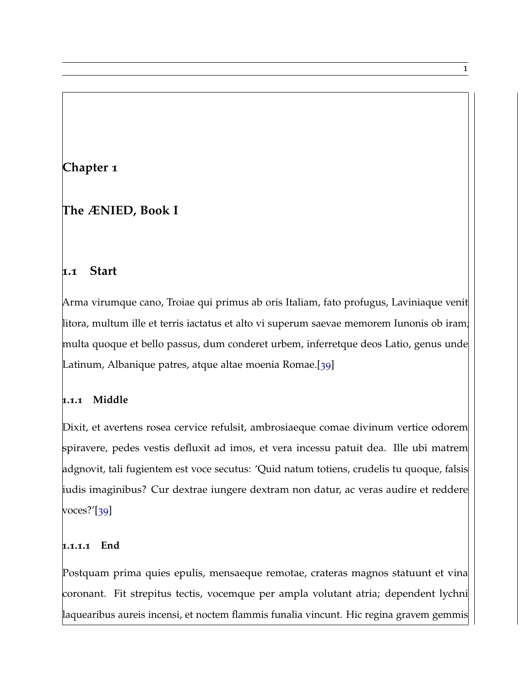## <span id="page-9-0"></span>**Chapter 1**

## **The ÆNIED, Book I**

#### <span id="page-9-1"></span>**1.1 Start**

Arma virumque cano, Troiae qui primus ab oris Italiam, fato profugus, Laviniaque venit litora, multum ille et terris iactatus et alto vi superum saevae memorem Iunonis ob iram; multa quoque et bello passus, dum conderet urbem, inferretque deos Latio, genus unde Latinum, Albanique patres, atque altae moenia Romae.[[39](#page-18-0)]

#### <span id="page-9-2"></span>**1.1.1 Middle**

Dixit, et avertens rosea cervice refulsit, ambrosiaeque comae divinum vertice odorem spiravere, pedes vestis defluxit ad imos, et vera incessu patuit dea. Ille ubi matrem adgnovit, tali fugientem est voce secutus: 'Quid natum totiens, crudelis tu quoque, falsis iudis imaginibus? Cur dextrae iungere dextram non datur, ac veras audire et reddere voces?'[[39](#page-18-0)]

#### <span id="page-9-3"></span>**1.1.1.1 End**

Postquam prima quies epulis, mensaeque remotae, crateras magnos statuunt et vina coronant. Fit strepitus tectis, vocemque per ampla volutant atria; dependent lychni laquearibus aureis incensi, et noctem flammis funalia vincunt. Hic regina gravem gemmis

1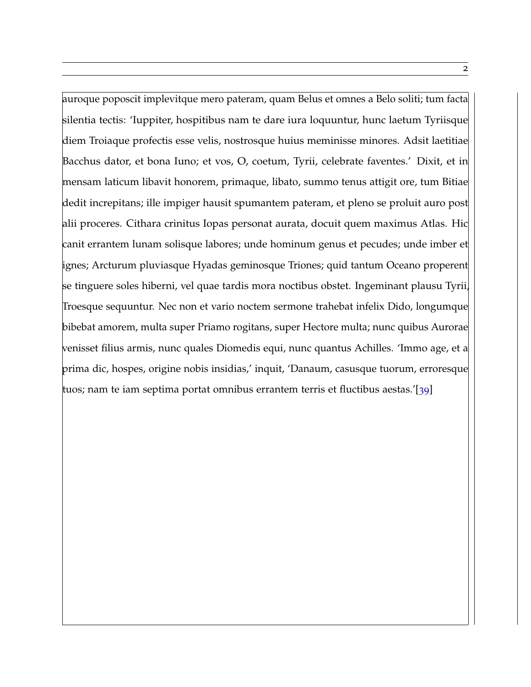auroque poposcit implevitque mero pateram, quam Belus et omnes a Belo soliti; tum facta silentia tectis: 'Iuppiter, hospitibus nam te dare iura loquuntur, hunc laetum Tyriisque diem Troiaque profectis esse velis, nostrosque huius meminisse minores. Adsit laetitiae Bacchus dator, et bona Iuno; et vos, O, coetum, Tyrii, celebrate faventes.' Dixit, et in mensam laticum libavit honorem, primaque, libato, summo tenus attigit ore, tum Bitiae dedit increpitans; ille impiger hausit spumantem pateram, et pleno se proluit auro post alii proceres. Cithara crinitus Iopas personat aurata, docuit quem maximus Atlas. Hic canit errantem lunam solisque labores; unde hominum genus et pecudes; unde imber et ignes; Arcturum pluviasque Hyadas geminosque Triones; quid tantum Oceano properent se tinguere soles hiberni, vel quae tardis mora noctibus obstet. Ingeminant plausu Tyrii, Troesque sequuntur. Nec non et vario noctem sermone trahebat infelix Dido, longumque bibebat amorem, multa super Priamo rogitans, super Hectore multa; nunc quibus Aurorae venisset filius armis, nunc quales Diomedis equi, nunc quantus Achilles. 'Immo age, et a prima dic, hospes, origine nobis insidias,' inquit, 'Danaum, casusque tuorum, erroresque tuos; nam te iam septima portat omnibus errantem terris et fluctibus aestas.'[[39](#page-18-0)]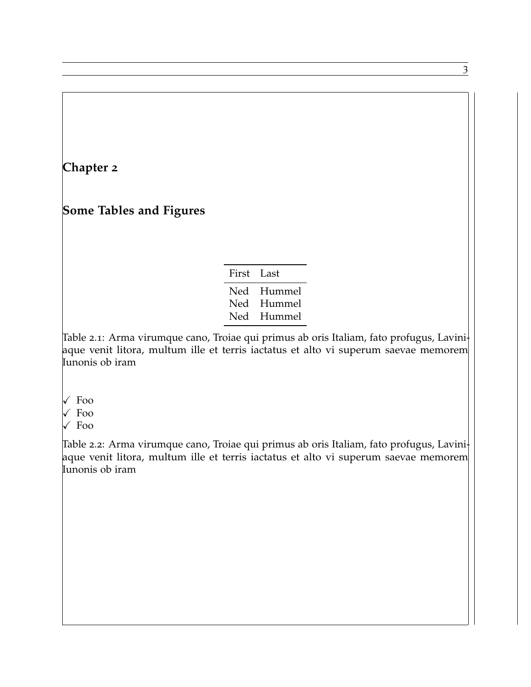### <span id="page-11-0"></span>**Chapter 2**

### **Some Tables and Figures**

| First Last |        |
|------------|--------|
| Ned        | Hummel |
| Ned        | Hummel |
| Ned        | Hummel |

<span id="page-11-1"></span>Table 2.1: Arma virumque cano, Troiae qui primus ab oris Italiam, fato profugus, Laviniaque venit litora, multum ille et terris iactatus et alto vi superum saevae memorem Iunonis ob iram

- $\sqrt{ }$  Foo
- $\sqrt{\ }$  Foo
- $\sqrt{F_{00}}$

<span id="page-11-2"></span>Table 2.2: Arma virumque cano, Troiae qui primus ab oris Italiam, fato profugus, Laviniaque venit litora, multum ille et terris iactatus et alto vi superum saevae memorem Iunonis ob iram

3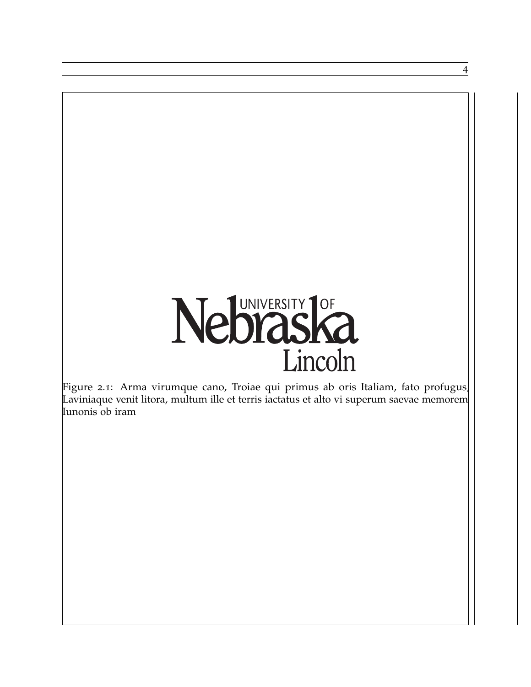# Neblaska Lincoln

4

<span id="page-12-0"></span>Figure 2.1: Arma virumque cano, Troiae qui primus ab oris Italiam, fato profugus, Laviniaque venit litora, multum ille et terris iactatus et alto vi superum saevae memorem Iunonis ob iram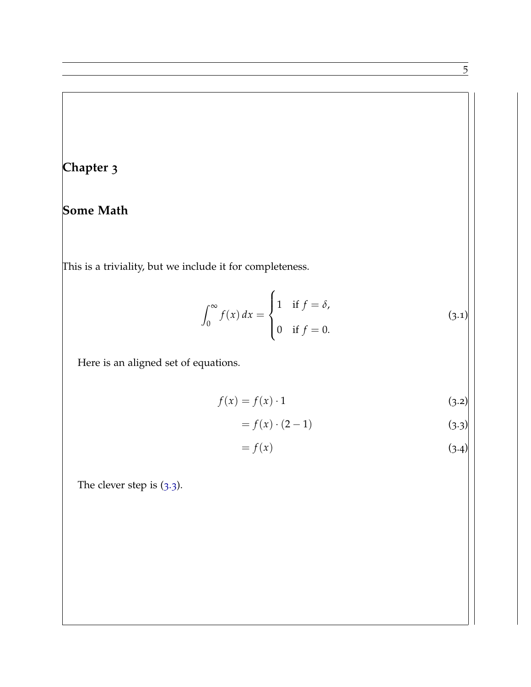# <span id="page-13-0"></span>**Chapter 3**

# **Some Math**

This is a triviality, but we include it for completeness.

$$
\int_0^\infty f(x) dx = \begin{cases} 1 & \text{if } f = \delta, \\ 0 & \text{if } f = 0. \end{cases}
$$
 (3.1)

Here is an aligned set of equations.

$$
f(x) = f(x) \cdot 1 \tag{3.2}
$$

$$
= f(x) \cdot (2 - 1) \tag{3.3}
$$

<span id="page-13-1"></span>
$$
= f(x) \tag{3.4}
$$

The clever step is ([3](#page-13-1).3).

 $\overline{5}$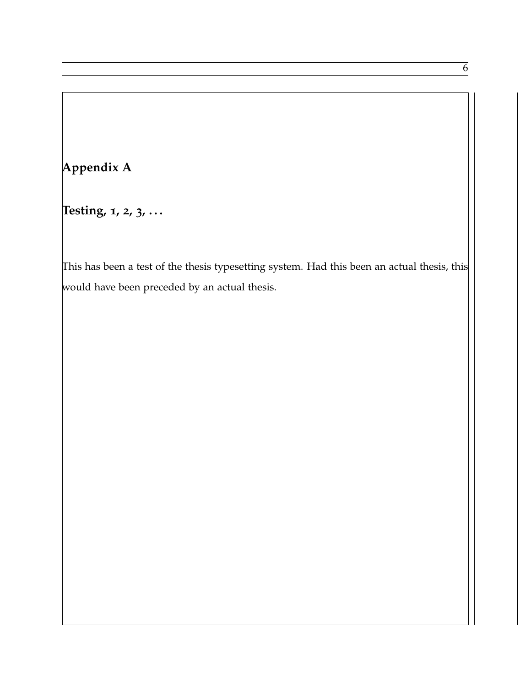# <span id="page-14-0"></span>**Appendix A**

**Testing, 1, 2, 3, . . .**

This has been a test of the thesis typesetting system. Had this been an actual thesis, this would have been preceded by an actual thesis.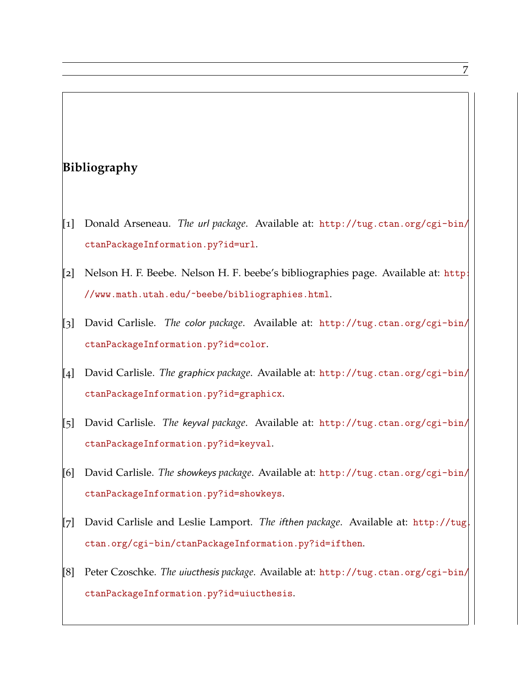# <span id="page-15-0"></span>**Bibliography**

- [1] Donald Arseneau. *The* url *package*. Available at: [http://tug.ctan.org/cgi-bin/](http://tug.ctan.org/cgi-bin/ctanPackageInformation.py?id=url) [ctanPackageInformation.py?id=url](http://tug.ctan.org/cgi-bin/ctanPackageInformation.py?id=url).
- [2] Nelson H. F. Beebe. Nelson H. F. beebe's bibliographies page. Available at: [http:](http://www.math.utah.edu/~beebe/bibliographies.html) [//www.math.utah.edu/~beebe/bibliographies.html](http://www.math.utah.edu/~beebe/bibliographies.html).
- [3] David Carlisle. *The* color *package*. Available at: [http://tug.ctan.org/cgi-bin/](http://tug.ctan.org/cgi-bin/ctanPackageInformation.py?id=color) [ctanPackageInformation.py?id=color](http://tug.ctan.org/cgi-bin/ctanPackageInformation.py?id=color).
- [4] David Carlisle. *The* graphicx *package*. Available at: [http://tug.ctan.org/cgi-bin/](http://tug.ctan.org/cgi-bin/ctanPackageInformation.py?id=graphicx) [ctanPackageInformation.py?id=graphicx](http://tug.ctan.org/cgi-bin/ctanPackageInformation.py?id=graphicx).
- [5] David Carlisle. *The* keyval *package*. Available at: [http://tug.ctan.org/cgi-bin/](http://tug.ctan.org/cgi-bin/ctanPackageInformation.py?id=keyval) [ctanPackageInformation.py?id=keyval](http://tug.ctan.org/cgi-bin/ctanPackageInformation.py?id=keyval).
- [6] David Carlisle. *The* showkeys *package*. Available at: [http://tug.ctan.org/cgi-bin/](http://tug.ctan.org/cgi-bin/ctanPackageInformation.py?id=showkeys) [ctanPackageInformation.py?id=showkeys](http://tug.ctan.org/cgi-bin/ctanPackageInformation.py?id=showkeys).
- [7] David Carlisle and Leslie Lamport. *The* ifthen *package*. Available at: [http://tug.](http://tug.ctan.org/cgi-bin/ctanPackageInformation.py?id=ifthen) [ctan.org/cgi-bin/ctanPackageInformation.py?id=ifthen](http://tug.ctan.org/cgi-bin/ctanPackageInformation.py?id=ifthen).
- [8] Peter Czoschke. *The* uiucthesis *package*. Available at: [http://tug.ctan.org/cgi-bin/](http://tug.ctan.org/cgi-bin/ctanPackageInformation.py?id=uiucthesis) [ctanPackageInformation.py?id=uiucthesis](http://tug.ctan.org/cgi-bin/ctanPackageInformation.py?id=uiucthesis).

7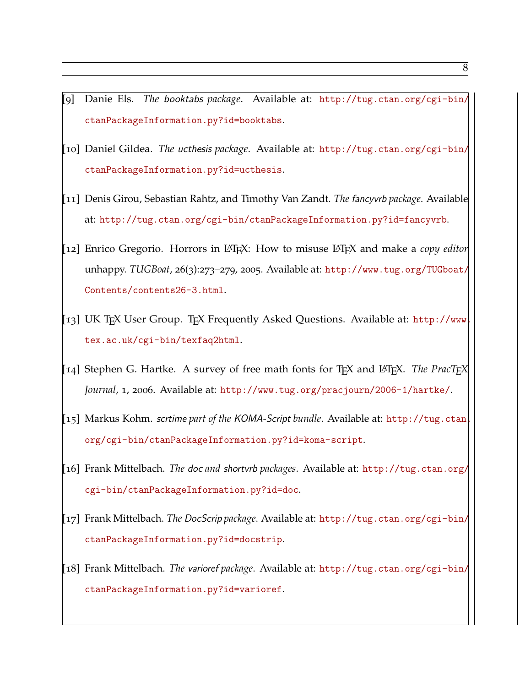- [9] Danie Els. *The* booktabs *package*. Available at: [http://tug.ctan.org/cgi-bin/](http://tug.ctan.org/cgi-bin/ctanPackageInformation.py?id=booktabs) [ctanPackageInformation.py?id=booktabs](http://tug.ctan.org/cgi-bin/ctanPackageInformation.py?id=booktabs).
- [10] Daniel Gildea. *The* ucthesis *package*. Available at: [http://tug.ctan.org/cgi-bin/](http://tug.ctan.org/cgi-bin/ctanPackageInformation.py?id=ucthesis) [ctanPackageInformation.py?id=ucthesis](http://tug.ctan.org/cgi-bin/ctanPackageInformation.py?id=ucthesis).
- [11] Denis Girou, Sebastian Rahtz, and Timothy Van Zandt. *The* fancyvrb *package*. Available at: <http://tug.ctan.org/cgi-bin/ctanPackageInformation.py?id=fancyvrb>.
- [12] Enrico Gregorio. Horrors in LATEX: How to misuse LATEX and make a *copy editor* unhappy. *TUGBoat*, 26(3):273–279, 2005. Available at: [http://www.tug.org/TUGboat/](http://www.tug.org/TUGboat/Contents/contents26-3.html) [Contents/contents26-3.html](http://www.tug.org/TUGboat/Contents/contents26-3.html).
- [13] UK TEX User Group. TEX Frequently Asked Questions. Available at: [http://www.](http://www.tex.ac.uk/cgi-bin/texfaq2html) [tex.ac.uk/cgi-bin/texfaq2html](http://www.tex.ac.uk/cgi-bin/texfaq2html).
- [14] Stephen G. Hartke. A survey of free math fonts for TEX and LATEX. *The PracTEX Journal*, 1, 2006. Available at: <http://www.tug.org/pracjourn/2006-1/hartke/>.
- [15] Markus Kohm. scrtime *part of the* KOMA-Script *bundle*. Available at: [http://tug.ctan.](http://tug.ctan.org/cgi-bin/ctanPackageInformation.py?id=koma-script) [org/cgi-bin/ctanPackageInformation.py?id=koma-script](http://tug.ctan.org/cgi-bin/ctanPackageInformation.py?id=koma-script).
- [16] Frank Mittelbach. *The* doc *and* shortvrb *packages*. Available at: [http://tug.ctan.org/](http://tug.ctan.org/cgi-bin/ctanPackageInformation.py?id=doc) [cgi-bin/ctanPackageInformation.py?id=doc](http://tug.ctan.org/cgi-bin/ctanPackageInformation.py?id=doc).
- [17] Frank Mittelbach. *The* DocScrip *package*. Available at: [http://tug.ctan.org/cgi-bin/](http://tug.ctan.org/cgi-bin/ctanPackageInformation.py?id=docstrip) [ctanPackageInformation.py?id=docstrip](http://tug.ctan.org/cgi-bin/ctanPackageInformation.py?id=docstrip).
- [18] Frank Mittelbach. *The* varioref *package*. Available at: [http://tug.ctan.org/cgi-bin/](http://tug.ctan.org/cgi-bin/ctanPackageInformation.py?id=varioref) [ctanPackageInformation.py?id=varioref](http://tug.ctan.org/cgi-bin/ctanPackageInformation.py?id=varioref).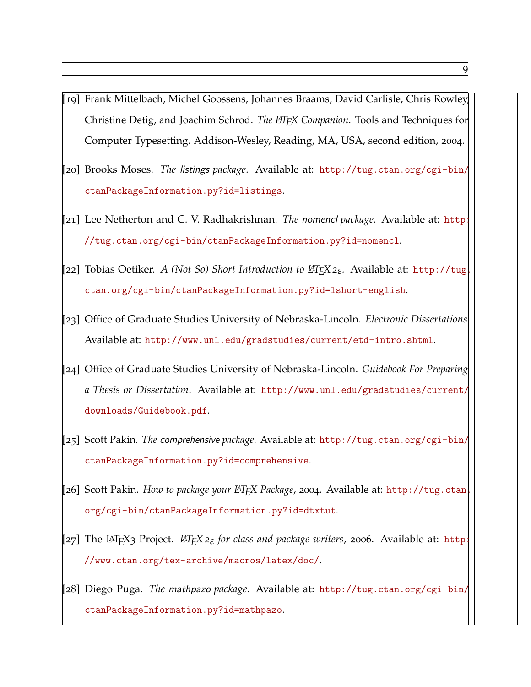- [19] Frank Mittelbach, Michel Goossens, Johannes Braams, David Carlisle, Chris Rowley, Christine Detig, and Joachim Schrod. *The LATEX Companion*. Tools and Techniques for Computer Typesetting. Addison-Wesley, Reading, MA, USA, second edition, 2004.
- [20] Brooks Moses. *The* listings *package*. Available at: [http://tug.ctan.org/cgi-bin/](http://tug.ctan.org/cgi-bin/ctanPackageInformation.py?id=listings) [ctanPackageInformation.py?id=listings](http://tug.ctan.org/cgi-bin/ctanPackageInformation.py?id=listings).
- [21] Lee Netherton and C. V. Radhakrishnan. *The* nomencl *package*. Available at: [http:](http://tug.ctan.org/cgi-bin/ctanPackageInformation.py?id=nomencl) [//tug.ctan.org/cgi-bin/ctanPackageInformation.py?id=nomencl](http://tug.ctan.org/cgi-bin/ctanPackageInformation.py?id=nomencl).
- [22] Tobias Oetiker. *A (Not So) Short Introduction to <sup>L</sup>ATEX <sup>2</sup>ε.* Available at: [http://tug.](http://tug.ctan.org/cgi-bin/ctanPackageInformation.py?id=lshort-english) [ctan.org/cgi-bin/ctanPackageInformation.py?id=lshort-english](http://tug.ctan.org/cgi-bin/ctanPackageInformation.py?id=lshort-english).
- [23] Office of Graduate Studies University of Nebraska-Lincoln. *Electronic Dissertations*. Available at: <http://www.unl.edu/gradstudies/current/etd-intro.shtml>.
- [24] Office of Graduate Studies University of Nebraska-Lincoln. *Guidebook For Preparing a Thesis or Dissertation*. Available at: [http://www.unl.edu/gradstudies/current/](http://www.unl.edu/gradstudies/current/downloads/Guidebook.pdf) [downloads/Guidebook.pdf](http://www.unl.edu/gradstudies/current/downloads/Guidebook.pdf).
- [25] Scott Pakin. *The* comprehensive *package*. Available at: [http://tug.ctan.org/cgi-bin/](http://tug.ctan.org/cgi-bin/ctanPackageInformation.py?id=comprehensive) [ctanPackageInformation.py?id=comprehensive](http://tug.ctan.org/cgi-bin/ctanPackageInformation.py?id=comprehensive).
- [26] Scott Pakin. *How to package your LATEX Package*, <sup>2004</sup>. Available at: [http://tug.ctan.](http://tug.ctan.org/cgi-bin/ctanPackageInformation.py?id=dtxtut) [org/cgi-bin/ctanPackageInformation.py?id=dtxtut](http://tug.ctan.org/cgi-bin/ctanPackageInformation.py?id=dtxtut).
- [27] The LATEX<sup>3</sup> Project. *<sup>L</sup>ATEX <sup>2</sup><sup>ε</sup> for class and package writers*, <sup>2006</sup>. Available at: [http:](http://www.ctan.org/tex-archive/macros/latex/doc/) [//www.ctan.org/tex-archive/macros/latex/doc/](http://www.ctan.org/tex-archive/macros/latex/doc/).
- [28] Diego Puga. *The* mathpazo *package*. Available at: [http://tug.ctan.org/cgi-bin/](http://tug.ctan.org/cgi-bin/ctanPackageInformation.py?id=mathpazo) [ctanPackageInformation.py?id=mathpazo](http://tug.ctan.org/cgi-bin/ctanPackageInformation.py?id=mathpazo).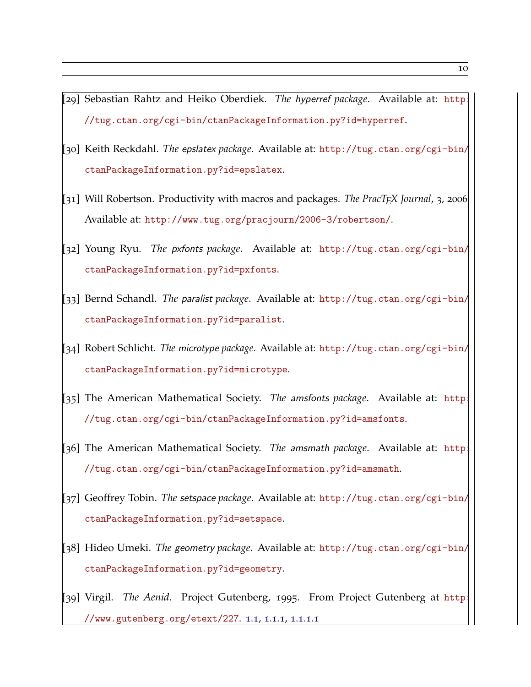- [29] Sebastian Rahtz and Heiko Oberdiek. *The* hyperref *package*. Available at: [http:](http://tug.ctan.org/cgi-bin/ctanPackageInformation.py?id=hyperref) [//tug.ctan.org/cgi-bin/ctanPackageInformation.py?id=hyperref](http://tug.ctan.org/cgi-bin/ctanPackageInformation.py?id=hyperref).
- [30] Keith Reckdahl. *The* epslatex *package*. Available at: [http://tug.ctan.org/cgi-bin/](http://tug.ctan.org/cgi-bin/ctanPackageInformation.py?id=epslatex) [ctanPackageInformation.py?id=epslatex](http://tug.ctan.org/cgi-bin/ctanPackageInformation.py?id=epslatex).
- [31] Will Robertson. Productivity with macros and packages. *The PracTEX Journal*, <sup>3</sup>, <sup>2006</sup>. Available at: <http://www.tug.org/pracjourn/2006-3/robertson/>.
- [32] Young Ryu. *The* pxfonts *package*. Available at: [http://tug.ctan.org/cgi-bin/](http://tug.ctan.org/cgi-bin/ctanPackageInformation.py?id=pxfonts) [ctanPackageInformation.py?id=pxfonts](http://tug.ctan.org/cgi-bin/ctanPackageInformation.py?id=pxfonts).
- [33] Bernd Schandl. *The* paralist *package*. Available at: [http://tug.ctan.org/cgi-bin/](http://tug.ctan.org/cgi-bin/ctanPackageInformation.py?id=paralist) [ctanPackageInformation.py?id=paralist](http://tug.ctan.org/cgi-bin/ctanPackageInformation.py?id=paralist).
- [34] Robert Schlicht. *The* microtype *package*. Available at: [http://tug.ctan.org/cgi-bin/](http://tug.ctan.org/cgi-bin/ctanPackageInformation.py?id=microtype) [ctanPackageInformation.py?id=microtype](http://tug.ctan.org/cgi-bin/ctanPackageInformation.py?id=microtype).
- [35] The American Mathematical Society. *The* amsfonts *package*. Available at: [http:](http://tug.ctan.org/cgi-bin/ctanPackageInformation.py?id=amsfonts) [//tug.ctan.org/cgi-bin/ctanPackageInformation.py?id=amsfonts](http://tug.ctan.org/cgi-bin/ctanPackageInformation.py?id=amsfonts).
- [36] The American Mathematical Society. *The* amsmath *package*. Available at: [http:](http://tug.ctan.org/cgi-bin/ctanPackageInformation.py?id=amsmath) [//tug.ctan.org/cgi-bin/ctanPackageInformation.py?id=amsmath](http://tug.ctan.org/cgi-bin/ctanPackageInformation.py?id=amsmath).
- [37] Geoffrey Tobin. *The* setspace *package*. Available at: [http://tug.ctan.org/cgi-bin/](http://tug.ctan.org/cgi-bin/ctanPackageInformation.py?id=setspace) [ctanPackageInformation.py?id=setspace](http://tug.ctan.org/cgi-bin/ctanPackageInformation.py?id=setspace).
- [38] Hideo Umeki. *The* geometry *package*. Available at: [http://tug.ctan.org/cgi-bin/](http://tug.ctan.org/cgi-bin/ctanPackageInformation.py?id=geometry) [ctanPackageInformation.py?id=geometry](http://tug.ctan.org/cgi-bin/ctanPackageInformation.py?id=geometry).
- <span id="page-18-0"></span>[39] Virgil. *The Aenid*. Project Gutenberg, 1995. From Project Gutenberg at [http:](http://www.gutenberg.org/etext/227) [//www.gutenberg.org/etext/227](http://www.gutenberg.org/etext/227). [1](#page-9-1).1, [1](#page-9-2).1.1, [1](#page-9-3).1.1.1